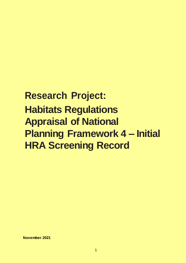# **Research Project: Habitats Regulations Appraisal of National Planning Framework 4 – Initial HRA Screening Record**

**November 2021**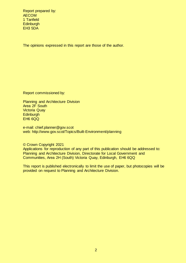Report prepared by: AECOM 1 Tanfield **Edinburgh** EH3 5DA

The opinions expressed in this report are those of the author.

Report commissioned by:

Planning and Architecture Division Area 2F South Victoria Quay **Edinburgh** EH6 6QQ

e-mail: chief.planner@gov.scot web: http://www.gov.scot/Topics/Built-Environment/planning

© Crown Copyright 2021

Applications for reproduction of any part of this publication should be addressed to: Planning and Architecture Division, Directorate for Local Government and Communities, Area 2H (South) Victoria Quay, Edinburgh, EH6 6QQ

This report is published electronically to limit the use of paper, but photocopies will be provided on request to Planning and Architecture Division.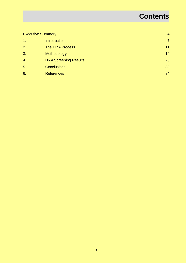# **Contents**

| <b>Executive Summary</b> |                              | $\overline{4}$ |
|--------------------------|------------------------------|----------------|
| $\mathbf 1$ .            | Introduction                 | $\overline{7}$ |
| 2.                       | The HRA Process              | 11             |
| 3.                       | Methodology                  | 14             |
| $\overline{4}$ .         | <b>HRA Screening Results</b> | 23             |
| 5.                       | <b>Conclusions</b>           | 33             |
| 6.                       | <b>References</b>            | 34             |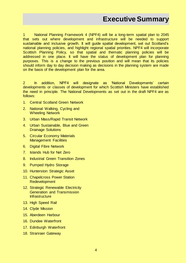## **Executive Summary**

<span id="page-3-0"></span>1 National Planning Framework 4 (NPF4) will be a long-term spatial plan to 2045 that sets out where development and infrastructure will be needed to support sustainable and inclusive growth. It will guide spatial development, set out Scotland's national planning policies, and highlight regional spatial priorities. NPF4 will incorporate Scottish Planning Policy, so that spatial and thematic planning policies will be addressed in one place. It will have the status of development plan for planning purposes. This is a change to the previous position and will mean that its policies should inform day to day decision making as decisions in the planning system are made on the basis of the development plan for the area.

2 In addition, NPF4 will designate as 'National Developments' certain developments or classes of development for which Scottish Ministers have established the need in principle. The National Developments as set out in the draft NPF4 are as follows:

- 1. Central Scotland Green Network
- 2. National Walking, Cycling and Wheeling Network
- 3. Urban Mass/Rapid Transit Network
- 4. Urban Sustainable, Blue and Green Drainage Solutions
- 5. Circular Economy Materials Management Facilities
- 6. Digital Fibre Network
- 7. Islands Hub for Net Zero
- 8. Industrial Green Transition Zones
- 9. Pumped Hydro Storage
- 10. Hunterston Strategic Asset
- 11. Chapelcross Power Station Redevelopment
- 12. Strategic Renewable Electricity Generation and Transmission **Infrastructure**
- 13. High Speed Rail
- 14. Clyde Mission
- 15. Aberdeen Harbour
- 16. Dundee Waterfront
- 17. Edinburgh Waterfront
- 18. Stranraer Gateway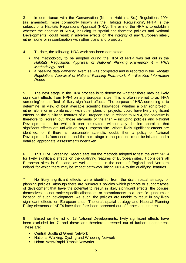3 In compliance with the Conservation (Natural Habitats, &c.) Regulations 1994 (as amended), more commonly known as the 'Habitats Regulations', NPF4 is the subject of a Habitats Regulations Appraisal (HRA). The aim of the HRA is to establish whether the adoption of NPF4, including its spatial and thematic policies and National Developments, could result in adverse effects on the integrity of any 'European sites', either alone or in combination with other plans and projects.

4 To date, the following HRA work has been completed:

- **the methodology to be adopted during the HRA of NPF4 was set out in the** *Habitats Regulations Appraisal of National Planning Framework 4 – HRA Methodology*, and
- a baseline data gathering exercise was completed and is reported in the *Habitats Regulations Appraisal of National Planning Framework 4 – Baseline Information Report*.

5 The next stage in the HRA process is to determine whether there may be likely significant effects from NPF4 on any European sites. This is often referred to as 'HRA screening' or the 'test of likely significant effects'. The purpose of HRA screening is to determine, in view of best available scientific knowledge, whether a plan (or project), either alone or in combination with other plans or projects, could have likely significant effects on the qualifying features of a European site. In relation to NPF4, the objective is therefore to 'screen out' those elements of the Plan – including policies and National Developments – for which it can be stated, without any detailed appraisal, that significant effects are unlikely on any European site. Where likely significant effects are identified, or if there is reasonable scientific doubt, then a policy or National Development is 'screened in' and the next stage in the process must be initiated and a detailed appropriate assessment undertaken.

6 This HRA Screening Record sets out the methods adopted to test the draft NPF4 for likely significant effects on the qualifying features of European sites. It considers all European sites in Scotland, as well as those in the north of England and Northern Ireland for which there may be impact pathways linking NPF4 to the qualifying features.

7 No likely significant effects were identified from the draft spatial strategy or planning policies. Although there are numerous policies which promote or support types of development that have the potential to result in likely significant effects, the policies themselves do not make specific allocations or commitments to a specific quantum or location of such development. As such, the policies are unable to result in any likely significant effects on European sites. The draft spatial strategy and National Planning Policy elements of NPF4 have therefore been screened out of further assessment.

8 Based on the list of 18 National Developments, likely significant effects have been excluded for 7, and these are therefore screened out of further assessment. These are:

- **EXEC** Central Scotland Green Network
- **E** National Walking, Cycling and Wheeling Network
- **Urban Mass/Rapid Transit Networks**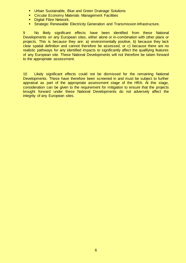- **Urban Sustainable, Blue and Green Drainage Solutions**
- **EXECT** Circular Economy Materials Management Facilities
- **Digital Fibre Network.**
- **Strategic Renewable Electricity Generation and Transmission Infrastructure.**

9 No likely significant effects have been identified from these National Developments on any European sites, either alone or in-combination with other plans or projects. This is because they are: a) environmentally positive, b) because they lack clear spatial definition and cannot therefore be assessed, or c) because there are no realistic pathways for any identified impacts to significantly affect the qualifying features of any European site. These National Developments will not therefore be taken forward to the appropriate assessment.

10 Likely significant effects could not be dismissed for the remaining National Developments. These have therefore been screened in and must be subject to further appraisal as part of the appropriate assessment stage of the HRA. At this stage, consideration can be given to the requirement for mitigation to ensure that the projects brought forward under these National Developments do not adversely affect the integrity of any European sites.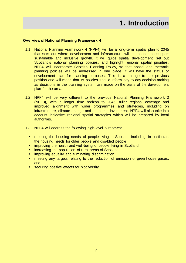# **1. Introduction**

#### <span id="page-6-0"></span>**Overview of National Planning Framework 4**

- 1.1 National Planning Framework 4 (NPF4) will be a long-term spatial plan to 2045 that sets out where development and infrastructure will be needed to support sustainable and inclusive growth. It will guide spatial development, set out Scotland's national planning policies, and highlight regional spatial priorities. NPF4 will incorporate Scottish Planning Policy, so that spatial and thematic planning policies will be addressed in one place. It will have the status of development plan for planning purposes. This is a change to the previous position and will mean that its policies should inform day to day decision making as decisions in the planning system are made on the basis of the development plan for the area.
- 1.2 NPF4 will be very different to the previous National Planning Framework 3 (NPF3), with a longer time horizon to 2045, fuller regional coverage and improved alignment with wider programmes and strategies, including on infrastructure, climate change and economic investment. NPF4 will also take into account indicative regional spatial strategies which will be prepared by local authorities.
- 1.3 NPF4 will address the following high-level outcomes:
	- meeting the housing needs of people living in Scotland including, in particular, the housing needs for older people and disabled people
	- **EXT** improving the health and well-being of people living in Scotland
	- **EXECTE increasing the population of rural areas of Scotland**
	- improving equality and eliminating discrimination
	- meeting any targets relating to the reduction of emission of greenhouse gases, and
	- securing positive effects for biodiversity.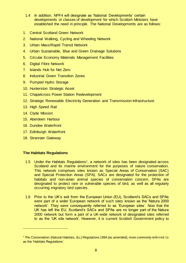- 1.4 In addition, NPF4 will designate as 'National Developments' certain developments or classes of development for which Scottish Ministers have established the need in principle. The National Developments are as follows:
- 1. Central Scotland Green Network
- 2. National Walking, Cycling and Wheeling Network
- 3. Urban Mass/Rapid Transit Network
- 4. Urban Sustainable, Blue and Green Drainage Solutions
- 5. Circular Economy Materials Management Facilities
- 6. Digital Fibre Network
- 7. Islands Hub for Net Zero
- 8. Industrial Green Transition Zones
- 9. Pumped Hydro Storage
- 10. Hunterston Strategic Asset
- 11. Chapelcross Power Station Redevelopment
- 12. Strategic Renewable Electricity Generation and Transmission Infrastructure
- 13. High Speed Rail
- 14. Clyde Mission
- 15. Aberdeen Harbour
- 16. Dundee Waterfront
- 17. Edinburgh Waterfront
- 18. Stranraer Gateway

#### **The Habitats Regulations**

- 1.5 Under the Habitats Regulations<sup>1</sup>, a network of sites has been designated across Scotland and its marine environment for the purposes of nature conservation. This network comprises sites known as Special Areas of Conservation (SAC) and Special Protection Areas (SPA). SACs are designated for the protection of habitats and non-avian animal species of conservation concern. SPAs are designated to protect rare or vulnerable species of bird, as well as all regularly occurring migratory bird species.
- 1.6 Prior to the UK's exit from the European Union (EU), Scotland's SACs and SPAs were part of a wider European network of such sites known as the 'Natura 2000 network'. They were consequently referred to as 'European sites'. Now that the UK has left the EU, Scotland's SACs and SPAs are no longer part of the Natura 2000 network but form a part of a UK-wide network of designated sites referred to as the 'UK site network'. However, it is current Scottish Government policy to

<sup>&</sup>lt;sup>1</sup> The Conservation (Natural Habitats, &c.) Regulations 1994 (as amended), more commonly referred to as the 'Habitats Regulations'.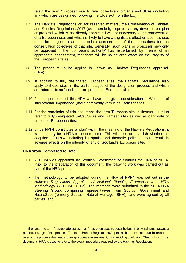retain the term 'European site' to refer collectively to SACs and SPAs (including any which are designated following the UK's exit from the EU).

- 1.7 The Habitats Regulations or, for reserved matters, the Conservation of Habitats and Species Regulations 2017 (as amended), require that any development plan or proposal which is not directly connected with or necessary to the conservation of a European site, and which is likely to have a significant effect on such as site, must be subject to an 'appropriate assessment' of the implications for the conservation objectives of that site. Generally, such plans or proposals may only be approved if the 'competent authority' has ascertained, by means of an appropriate assessment, that there will be no adverse effect on the integrity of the European site(s).
- 1.8 The procedure to be applied is known as 'Habitats Regulations Appraisal'  $(HRA)<sup>2</sup>$ .
- 1.9 In addition to fully designated European sites, the Habitats Regulations also apply to those sites in the earlier stages of the designation process and which are referred to as 'candidate' or 'proposed' European sites.
- 1.10 For the purposes of this HRA we have also given consideration to Wetlands of International Importance (more commonly known as 'Ramsar sites').
- 1.11 For the remainder of this document, the term 'European site' is therefore used to refer to fully designated SACs, SPAs and Ramsar sites as well as candidate or proposed European sites.
- 1.12 Since NPF4 constitutes a 'plan' within the meaning of the Habitats Regulations, it is necessary for a HRA to be completed. This will seek to establish whether the adoption of NPF4, including its spatial and thematic policies, could result in adverse effects on the integrity of any of Scotland's European sites.

#### **HRA Work Completed to Date**

- 1.13 AECOM was appointed by Scottish Government to conduct the HRA of NPF4. Prior to the preparation of this document, the following work was carried out as part of the HRA process:
	- **the methodology to be adopted during the HRA of NPF4 was set out in the** *Habitats Regulations Appraisal of National Planning Framework 4 – HRA Methodology* (AECOM, 2020a). The methods were submitted to the NPF4 HRA Steering Group, comprising representatives from Scottish Government and NatureScot (formerly Scottish Natural Heritage (SNH)), and were agreed by all parties, and

 $^{\text{2}}$  In the past, the term 'appropriate assessment' has been used to describe both the overall process and a particular stage of that process. The term 'Habitat Regulations Appraisal' has come into use in order to refer to the process that leads to an appropriate assessment, thus avoiding confusion. Throughout this document, HRA is used to refer to the overall procedure required by the Habitats Regulations.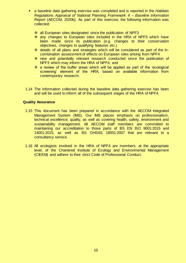- a baseline data gathering exercise was completed and is reported in the *Habitats Regulations Appraisal of National Planning Framework 4 – Baseline Information Report* (AECOM, 2020b). As part of this exercise, the following information was collected:
	- ❖ all European sites designated since the publication of NPF3
	- ❖ any changes to European sites included in the HRA of NPF3 which have been made since its publication (e.g. changes to their conservation objectives, changes to qualifying features etc.)
	- details of all plans and strategies which will be considered as part of the incombination assessment of effects on European sites arising from NPF4
	- new and potentially relevant research conducted since the publication of NPF3 which may inform the HRA of NPF4, and
	- a review of the buffer areas which will be applied as part of the 'ecological screening' element of the HRA, based on available information from contemporary research.
- 1.14 The information collected during the baseline data gathering exercise has been and will be used to inform all of the subsequent stages of the HRA of NPF4.

#### **Quality Assurance**

- 1.15 This document has been prepared in accordance with the AECOM Integrated Management System (IMS). Our IMS places emphasis on professionalism, technical excellence, quality, as well as covering health, safety, environment and sustainability management. All AECOM staff members are committed to maintaining our accreditation to those parts of BS EN ISO 9001:2015 and 14001:2015, as well as BS OHSAS 18001:2007 that are relevant to a consultancy service.
- 1.16 All ecologists involved in the HRA of NPF4 are members, at the appropriate level, of the Chartered Institute of Ecology and Environmental Management (CIEEM) and adhere to their strict Code of Professional Conduct.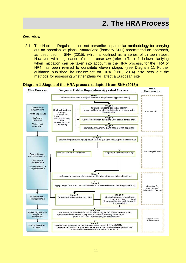#### <span id="page-10-0"></span>**Overview**

2.1 The Habitats Regulations do not prescribe a particular methodology for carrying out an appraisal of plans. NatureScot (formerly SNH) recommend an approach, as described in SNH (2015), which is outlined as a series of thirteen steps. However, with cognisance of recent case law (refer to Table 1, below) clarifying when mitigation can be taken into account in the HRA process, for the HRA of NP4 has been revised to constitute eleven stages (see Diagram 1). Further guidance published by NatureScot on HRA (SNH, 2014) also sets out the methods for assessing whether plans will affect a European site.

#### **Diagram 1 Stages of the HRA process (adapted from SNH (2015))**

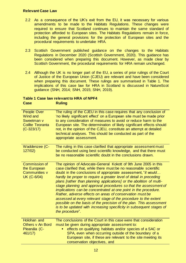### **Relevant Case Law**

- 2.2 As a consequence of the UK's exit from the EU, it was necessary for various amendments to be made to the Habitats Regulations. These changes were required to ensure that Scotland continues to maintain the same standard of protection afforded to European sites. The Habitats Regulations remain in force, including the general provisions for the protection of European sites and the procedural requirements to undertake HRA.
- 2.3 Scottish Government published guidance on the changes to the Habitats Regulations in December 2020 (Scottish Government, 2020). This guidance has been considered when preparing this document. However, as made clear by Scottish Government, the procedural requirements for HRA remain unchanged.
- 2.4 Although the UK is no longer part of the EU, a series of prior rulings of the Court of Justice of the European Union (CJEU) are relevant and have been considered when preparing this document. These rulings are summarised in Table 1. The implications of this case law for HRA in Scotland is discussed in NatureScot guidance (SNH, 2014; SNH, 2015; SNH, 2019).

### **Table 1 Case law relevant to HRA of NPF4 Case Ruling**

| People Over<br>Wind and<br>Sweetman v<br><b>Coillte Teoranta</b><br>$(C-323/17)$ | The ruling of the CJEU in this case requires that any conclusion of<br>'no likely significant effect' on a European site must be made prior<br>to any consideration of measures to avoid or reduce harm to the<br>European site. The determination of likely significant effects should<br>not, in the opinion of the CJEU, constitute an attempt at detailed<br>technical analyses. This should be conducted as part of the<br>appropriate assessment.                                                                                                                                                                                                                                                                                                                                     |
|----------------------------------------------------------------------------------|---------------------------------------------------------------------------------------------------------------------------------------------------------------------------------------------------------------------------------------------------------------------------------------------------------------------------------------------------------------------------------------------------------------------------------------------------------------------------------------------------------------------------------------------------------------------------------------------------------------------------------------------------------------------------------------------------------------------------------------------------------------------------------------------|
| Waddenzee (C-<br>127/02)                                                         | The ruling in this case clarified that appropriate assessment must<br>be conducted using best scientific knowledge, and that there must<br>be no reasonable scientific doubt in the conclusions drawn.                                                                                                                                                                                                                                                                                                                                                                                                                                                                                                                                                                                      |
| Commission of<br>the European<br>Communities v<br><b>UK (C-6/04)</b>             | The opinion of Advocate-General Kokott of 9th June 2005 in this<br>case clarified that, while there must be no reasonable scientific<br>doubt in the conclusions of appropriate assessment, "it would<br>hardly be proper to require a greater level of detail in preceding<br>plans [rather than planning applications] or the abolition of multi-<br>stage planning and approval procedures so that the assessment of<br>implications can be concentrated at one point in the procedure.<br>Rather, adverse effects on areas of conservation must be<br>assessed at every relevant stage of the procedure to the extent<br>possible on the basis of the precision of the plan. This assessment<br>is to be updated with increasing specificity in subsequent stages of<br>the procedure". |
| Holohan and<br>Others v An Bord<br>Pleanála (C-<br>461/17)                       | The conclusions of the Court in this case were that consideration<br>must be given during appropriate assessment to:<br>effects on qualifying habitats and/or species of a SAC or<br>SPA, even when occurring outside of the boundary of a<br>European site, if these are relevant to the site meeting its<br>conservation objectives, and                                                                                                                                                                                                                                                                                                                                                                                                                                                  |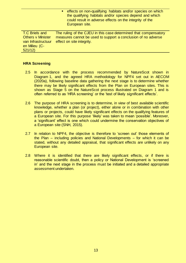effects on non-qualifying habitats and/or species on which the qualifying habitats and/or species depend and which could result in adverse effects on the integrity of the European site.

T.C Briels and **Others v Minister** van Infrastructuur en Milieu (C-521/12) The ruling of the CJEU in this case determined that compensatory measures cannot be used to support a conclusion of no adverse effect on site integrity.

#### **HRA Screening**

- 2.5 In accordance with the process recommended by NatureScot shown in Diagram 1, and the agreed HRA methodology for NPF4 set out in AECOM (2020a), following baseline data gathering the next stage is to determine whether there may be likely significant effects from the Plan on European sites. This is shown as Stage 5 on the NatureScot process illustrated on Diagram 1 and is often referred to as 'HRA screening' or the 'test of likely significant effects'.
- 2.6 The purpose of HRA screening is to determine, in view of best available scientific knowledge, whether a plan (or project), either alone or in combination with other plans or projects, could have likely significant effects on the qualifying features of a European site. For this purpose 'likely' was taken to mean 'possible'. Moreover, a 'significant' effect is one which could undermine the conservation objectives of a European site (SNH, 2015).
- 2.7 In relation to NPF4, the objective is therefore to 'screen out' those elements of the Plan – including policies and National Developments – for which it can be stated, without any detailed appraisal, that significant effects are unlikely on any European site.
- 2.8 Where it is identified that there are likely significant effects, or if there is reasonable scientific doubt, then a policy or National Development is 'screened in' and the next stage in the process must be initiated and a detailed appropriate assessment undertaken.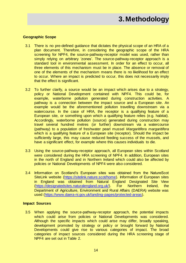# **3.Methodology**

#### <span id="page-13-0"></span>**Geographic Scope**

- 3.1 There is no pre-defined guidance that dictates the physical scope of an HRA of a plan document. Therefore, in considering the geographic scope of the HRA screening for NPF4, the source-pathway-receptor model was used, rather than simply relying on arbitrary 'zones'. The source-pathway-receptor approach is a standard tool in environmental assessment. In order for an effect to occur, all three elements of this mechanism must be in place. The absence or removal of one of the elements of the mechanism means there is no likelihood for an effect to occur. Where an impact is predicted to occur, this does not necessarily imply that the effect is significant.
- 3.2 To further clarify, a source would be an impact which arises due to a strategy, policy or National Development contained with NPF4. This could be, for example, waterborne pollution generated during construction activities. A pathway is a connection between the impact source and a European site. An example would be the aforementioned pollution travelling downstream via a watercourse. In the case of HRA, the receptor is a qualifying feature of a European site, or something upon which a qualifying feature relies (e.g. habitat). Accordingly, waterborne pollution (source) generated during construction may travel several hundred metres (or further) downstream via a watercourse (pathway) to a population of freshwater pearl mussel *Margaritifera margaritifera* which is a qualifying feature of a European site (receptor). Should the impact be sufficiently large, this may cause reduced feeding success of the mussels, and have a significant effect, for example where this causes individuals to die.
- 3.3 Using the source-pathway-receptor approach, all European sites within Scotland were considered during the HRA screening of NPF4. In addition, European sites in the north of England and in Northern Ireland which could also be affected by policies or National Developments of NPF4 were also considered.
- 3.4 Information on Scotland's European sites was obtained from the NatureScot SiteLink website [\(https://sitelink.nature.scot/home\).](https://sitelink.nature.scot/home) Information of European sites in England was obtained from Natural England Designated Site View [\(https://designatedsites.naturalengland.org.uk/\).](https://designatedsites.naturalengland.org.uk/) For Northern Ireland, the Department of Agriculture, Environment and Rural Affairs (DAERA) website was used [\(https://www.daera-ni.gov.uk/landing-pages/protected-areas\).](https://www.daera-ni.gov.uk/landing-pages/protected-areas)

#### **Impact Sources**

3.5 When applying the source-pathway-receptor approach, the potential impacts which could arise from policies or National Developments was considered. Although the specific impacts which could arise may differ, broadly speaking, development promoted by strategy or policy or brought forward by National Developments could give rise to various categories of impact. The broad categories of impact sources considered during the HRA screening stage of NPF4 are set out in Table 2.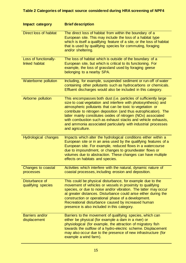### **Table 2 Categories of impact source considered during HRA screening of NPF4**

| Impact category                         | <b>Brief description</b>                                                                                                                                                                                                                                                                                                                                                                                                                                                                  |
|-----------------------------------------|-------------------------------------------------------------------------------------------------------------------------------------------------------------------------------------------------------------------------------------------------------------------------------------------------------------------------------------------------------------------------------------------------------------------------------------------------------------------------------------------|
| <b>Direct loss of habitat</b>           | The direct loss of habitat from within the boundary of a<br>European site. This may include the loss of a habitat type<br>which is itself a qualifying feature of a site, or the loss of habitat<br>that is used by qualifying species for commuting, foraging<br>and/or sheltering.                                                                                                                                                                                                      |
| Loss of functionally-<br>linked habitat | The loss of habitat which is outside of the boundary of a<br>European site, but which is critical to its functioning. For<br>example, the loss of grassland used by foraging geese<br>belonging to a nearby SPA.                                                                                                                                                                                                                                                                          |
| Waterborne pollution                    | Including, for example, suspended sediment or run-off of water<br>containing other pollutants such as hydrocarbons or chemicals.<br>Effluent discharges would also be included in this category.                                                                                                                                                                                                                                                                                          |
| Airborne pollution                      | This encompasses both dust (i.e. particles of sufficiently large<br>size to coat vegetation and interfere with photosynthesis) and<br>atmospheric pollutants that can be toxic to vegetation or<br>contribute to nitrogen deposition (and thus eutrophication). The<br>latter mainly constitutes oxides of nitrogen (NOx) associated<br>with combustion such as exhaust stacks and vehicle exhausts,<br>and ammonia associated particularly with industrial processes<br>and agriculture. |
| <b>Hydrological changes</b>             | Impacts which alter the hydrological conditions either within a<br>European site or in an area used by the qualifying features of a<br>European site. For example, reduced flows in a watercourse<br>due to impoundment, or changes to groundwater flows or<br>volumes due to abstraction. These changes can have multiple<br>effects on habitats and species.                                                                                                                            |
| Changes to coastal<br>processes         | Activities which interfere with the natural, dynamic nature of<br>coastal processes, including erosion and deposition.                                                                                                                                                                                                                                                                                                                                                                    |
| Disturbance of<br>qualifying species    | This could be physical disturbance, for example due to the<br>movement of vehicles or vessels in proximity to qualifying<br>species, or due to noise and/or vibration. The latter may occur<br>at greater distances. Disturbance could arise either during the<br>construction or operational phase of a development.<br>Recreational disturbance caused by increased human<br>presence is also included in this category.                                                                |
| Barriers and/or<br>displacement         | Barriers to the movement of qualifying species, which can<br>either be physical (for example a dam in a river) or<br>physiological (for example, the attraction of migratory fish<br>towards the outflow of a hydro-electric scheme. Displacement<br>may also occur due to the presence of new infrastructure (for<br>example a wind farm).                                                                                                                                               |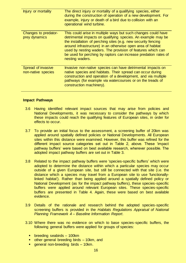| Injury or mortality                      | The direct injury or mortality of a qualifying species, either<br>during the construction of operation of a new development. For<br>example, injury or death of a bird due to collision with an<br>operational wind turbine.                                                                                                                                                                                       |
|------------------------------------------|--------------------------------------------------------------------------------------------------------------------------------------------------------------------------------------------------------------------------------------------------------------------------------------------------------------------------------------------------------------------------------------------------------------------|
| Changes to predator-<br>prey dynamics    | This could arise in multiple ways but such changes could have<br>detrimental impacts on qualifying species. An example may be<br>the installation of perching sites (e.g. new security fencing<br>around infrastructure) in an otherwise open area of habitat<br>used by nesting waders. The provision of features which can<br>be used for perching by raptors can increase predation rates of<br>nesting waders. |
| Spread of invasive<br>non-native species | Invasive non-native species can have detrimental impacts on<br>native species and habitats. Their spread can occur during<br>construction and operation of a development, and via multiple<br>pathways (for example via watercourses or on the treads of<br>construction machinery).                                                                                                                               |

#### **Impact Pathways**

- 3.6 Having identified relevant impact sources that may arise from policies and National Developments, it was necessary to consider the pathways by which these impacts could reach the qualifying features of European sites, in order for effects to occur.
- 3.7 To provide an initial focus to the assessment, a screening buffer of 20km was applied around spatially defined policies or National Developments. All European sites within this distance were examined. However, this buffer was refined for the different impact source categories set out in Table 2, above. These 'impact pathway buffers' were based on best available research, wherever possible. The adopted impact pathway buffers are set out in Table 3.
- 3.8 Related to the impact pathway buffers were 'species-specific buffers' which were adopted to determine the distance within which a particular species may occur outside of a given European site, but still be connected with that site (i.e. the distance which a species may travel from a European site to use 'functionallylinked habitat'). Rather than being applied around a spatially defined policy or National Development (as for the impact pathway buffers), these species-specific buffers were applied around relevant European sites. These species-specific buffers are presented in Table 4. Again, these were based on best available evidence.
- 3.9 Details of the rationale and research behind the adopted species-specific screening buffers is provided in the *Habitats Regulations Appraisal of National Planning Framework 4 – Baseline Information Report*.
- 3.10 Where there was no evidence on which to base species-specific buffers, the following general buffers were applied for groups of species:
	- breeding seabirds 100km
	- other general breeding birds 10km, and
	- general non-breeding birds 10km.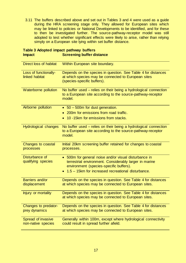3.11 The buffers described above and set out in Tables 3 and 4 were used as a guide during the HRA screening stage only. They allowed for European sites which may be linked to policies or National Developments to be identified, and for these to then be investigated further. The source-pathway-receptor model was still adopted to test whether significant effects were likely to arise, rather than relying simply on a European site lying within set buffer distance.

| Direct loss of habitat                   | Within European site boundary.                                                                                                                             |
|------------------------------------------|------------------------------------------------------------------------------------------------------------------------------------------------------------|
| Loss of functionally-<br>linked habitat  | Depends on the species in question. See Table 4 for distances<br>at which species may be connected to European sites<br>(species-specific buffers).        |
| Waterborne pollution                     | No buffer used – relies on their being a hydrological connection<br>to a European site according to the source-pathway-receptor<br>model.                  |
| Airborne pollution                       | • 50 - 500m for dust generation.                                                                                                                           |
|                                          | 200m for emissions from road traffic.                                                                                                                      |
|                                          | 10 -15km for emissions from stacks.                                                                                                                        |
| <b>Hydrological changes</b>              | No buffer used – relies on their being a hydrological connection<br>to a European site according to the source-pathway-receptor<br>model.                  |
| Changes to coastal<br>processes          | Initial 20km screening buffer retained for changes to coastal<br>processes.                                                                                |
| Disturbance of<br>qualifying species     | • 500m for general noise and/or visual disturbance in<br>terrestrial environment. Considerably larger in marine<br>environment (species-specific buffers). |
|                                          | 1.5 - 15km for increased recreational disturbance.                                                                                                         |
| Barriers and/or<br>displacement          | Depends on the species in question. See Table 4 for distances<br>at which species may be connected to European sites.                                      |
| Injury or mortality                      | Depends on the species in question. See Table 4 for distances<br>at which species may be connected to European sites.                                      |
| Changes to predator-                     | Depends on the species in question. See Table 4 for distances                                                                                              |
| prey dynamics                            | at which species may be connected to European sites.                                                                                                       |
| Spread of invasive<br>non-native species | Generally within 100m, except where hydrological connectivity<br>could result in spread further afield.                                                    |

#### **Table 3 Adopted impact pathway buffers Impact Screening buffer distance**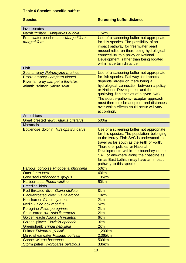### **Table 4 Species-specific buffers**

### **Species Species** Species Screening buffer distance

| Invertebrates                                          |                                                                                                                                                                                                                                                                                          |
|--------------------------------------------------------|------------------------------------------------------------------------------------------------------------------------------------------------------------------------------------------------------------------------------------------------------------------------------------------|
| Marsh fritillary Euphydryas aurinia                    | 1.5km                                                                                                                                                                                                                                                                                    |
| Freshwater pearl mussel Margaritifera<br>margaritifera | Use of a screening buffer not appropriate<br>for this species. The possibility of an<br>impact pathway for freshwater pearl<br>mussel relies on there being hydrological<br>connectivity to a policy or National<br>Development, rather than being located<br>within a certain distance. |
| Fish                                                   |                                                                                                                                                                                                                                                                                          |
| Sea lamprey Petromyzon marinus                         | Use of a screening buffer not appropriate                                                                                                                                                                                                                                                |
| Brook lamprey Lampetra planeri                         | for fish species. Pathway for impacts                                                                                                                                                                                                                                                    |
| River lamprey Lampetra fluviatilis                     | depends largely on there being a                                                                                                                                                                                                                                                         |
| Atlantic salmon Salmo salar                            | hydrological connection between a policy                                                                                                                                                                                                                                                 |
|                                                        | or National Development and the<br>qualifying fish species of a given SAC.                                                                                                                                                                                                               |
|                                                        | The source-pathway-receptor approach                                                                                                                                                                                                                                                     |
|                                                        | must therefore be adopted, and distances                                                                                                                                                                                                                                                 |
|                                                        | over which effects could occur will vary                                                                                                                                                                                                                                                 |
|                                                        | accordingly.                                                                                                                                                                                                                                                                             |
| Amphibians                                             |                                                                                                                                                                                                                                                                                          |
| <b>Great crested newt Triturus cristatus</b>           | 500m                                                                                                                                                                                                                                                                                     |
| <b>Mammals</b>                                         |                                                                                                                                                                                                                                                                                          |
| Bottlenose dolphin Tursiops truncatus                  | Use of a screening buffer not appropriate                                                                                                                                                                                                                                                |
|                                                        | for this species. The population belonging                                                                                                                                                                                                                                               |
|                                                        | to the Moray Firth SAC is understood to                                                                                                                                                                                                                                                  |
|                                                        | travel as far south as the Firth of Forth.                                                                                                                                                                                                                                               |
|                                                        | Therefore, policies or National                                                                                                                                                                                                                                                          |
|                                                        | Developments within the boundary of the                                                                                                                                                                                                                                                  |
|                                                        | SAC or anywhere along the coastline as                                                                                                                                                                                                                                                   |
|                                                        | far as East Lothian may have an impact<br>pathway to this species.                                                                                                                                                                                                                       |
| Harbour porpoise Phocoena phocoena                     | 50km                                                                                                                                                                                                                                                                                     |
| Otter Lutra lutra                                      | 40km                                                                                                                                                                                                                                                                                     |
| Grey seal Halichoerus grypus                           | <b>135km</b>                                                                                                                                                                                                                                                                             |
| Harbour seal Phoca vitulina                            | 50km                                                                                                                                                                                                                                                                                     |
| <b>Breeding birds</b>                                  |                                                                                                                                                                                                                                                                                          |
| Red-throated diver Gavia stellata                      | 8km                                                                                                                                                                                                                                                                                      |
| <b>Black-throated diver Gavia arctica</b>              | 10km                                                                                                                                                                                                                                                                                     |
| Hen harrier Circus cyaneus                             | 2km                                                                                                                                                                                                                                                                                      |
| Merlin Falco columbarius                               | 5km                                                                                                                                                                                                                                                                                      |
| Peregrine Falco peregrinus                             | 2km                                                                                                                                                                                                                                                                                      |
| <b>Short-eared owl Asio flammeus</b>                   | 2km                                                                                                                                                                                                                                                                                      |
| Golden eagle Aquila chrysaetos                         | 6km                                                                                                                                                                                                                                                                                      |
| Golden plover Pluvialis apricaria                      | 3km                                                                                                                                                                                                                                                                                      |
| Greenshank Tringa nebularia                            | 2km                                                                                                                                                                                                                                                                                      |
| <b>Fulmar Fulmarus glacialis</b>                       | 1,200km                                                                                                                                                                                                                                                                                  |
| Manx shearwater Puffinus puffinus                      | 2,365km                                                                                                                                                                                                                                                                                  |
| <b>Gannet Morus bassanus</b>                           | 509km                                                                                                                                                                                                                                                                                    |
| Storm petrel Hydrobates pelagicus                      | <b>336km</b>                                                                                                                                                                                                                                                                             |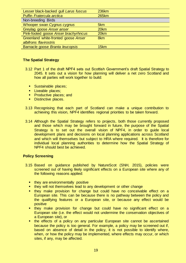| Lesser black-backed gull Larus fuscus | <b>236km</b> |
|---------------------------------------|--------------|
| Puffin Fratercula arctica             | <b>265km</b> |
| Non-breeding Birds                    |              |
| Whooper swan Cygnus cygnus            | 5km          |
| Greylag goose Anser anser             | 20km         |
| Pink-footed goose Anser brachyrhncus  | 20km         |
| Greenland white-fronted goose Anser   | 8km          |
| albifrons flavirostris                |              |
| Barnacle goose Branta leucopsis       | 15km         |

#### **The Spatial Strategy**

- 3.12 Part 1 of the draft NPF4 sets out Scottish Government's draft Spatial Strategy to 2045. It sets out a vision for how planning will deliver a net zero Scotland and how all parties will work together to build:
	- **Sustainable places;**
	- **Liveable places:**
	- **Productive places; and**
	- Distinctive places.
- 3.13 Recognising that each part of Scotland can make a unique contribution to achieving this vision, NPF4 identifies regional priorities to be taken forward.
- 3.14 Although the Spatial Strategy refers to projects, both those currently proposed and those which may be brought forward in future, the purpose of the Spatial Strategy is to set out the overall vision of NPF4, in order to guide local development plans and decisions on local planning applications across Scotland and which will themselves but subject to HRA where required. It is therefore for individual local planning authorities to determine how the Spatial Strategy of NPF4 should best be achieved.

#### **Policy Screening**

- 3.15 Based on guidance published by NatureScot (SNH, 2015), policies were screened out of having likely significant effects on a European site where any of the following reasons applied:
	- they are environmentally positive
	- **they will not themselves lead to any development or other change**
	- **they make provision for change but could have no conceivable effect on a** European site. This can be because there is no pathway between the policy and the qualifying features or a European site, or because any effect would be positive
	- they make provision for change but could have no significant effect on a European site (i.e. the effect would not undermine the conservation objectives of a European site), or
	- the effects of a policy on any particular European site cannot be ascertained because the policy is too general. For example, a policy may be screened out if, based on absence of detail in the policy, it is not possible to identify where, when, or how the policy may be implemented, where effects may occur, or which sites, if any, may be affected.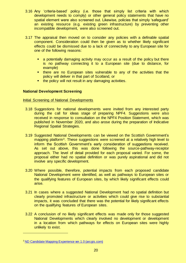- 3.16 Any 'criteria-based' policy (i.e. those that simply list criteria with which development needs to comply) or other general policy statements that have no spatial element were also screened out. Likewise, policies that simply 'safeguard' an existing resource (e.g. existing green infrastructure) by preventing other incompatible development, were also screened out.
- 3.17 The appraisal then moved on to consider any policies with a definable spatial component. Consideration could then be given as to whether likely significant effects could be dismissed due to a lack of connectivity to any European site for one of the following reasons:
	- a potentially damaging activity may occur as a result of the policy but there is no pathway connecting it to a European site (due to distance, for example)
	- **there are no European sites vulnerable to any of the activities that the** policy will deliver in that part of Scotland, or
	- the policy will not result in any damaging activities.

#### **National Development Screening**

#### Initial Screening of National Developments

- 3.18 Suggestions for national developments were invited from any interested party during the call for ideas stage of preparing NPF4. Suggestions were also received in response to consultation on the NPF4 Position Statement, which was published in November 2020, and also arose during the preparation of Indicative Regional Spatial Strategies.
- 3.19 Suggested National Developments can be viewed on the Scottish Government's mapping platform<sup>3</sup>. These suggestions were screened at a relatively high level to inform the Scottish Government's early consideration of suggestions received. As set out above, this was done following the source-pathway-receptor approach. The level of detail provided for each proposal varied. For some, the proposal either had no spatial definition or was purely aspirational and did not involve any specific development.
- 3.20 Where possible, therefore, potential impacts from each proposed candidate National Development were identified, as well as pathways to European sites or the qualifying features of European sites, by which likely significant effects could arise.
- 3.21 In cases where a suggested National Development had no spatial definition but clearly promoted infrastructure or activities which could give rise to substantial impacts, it was concluded that there was the potential for likely significant effects on the qualifying features of European sites.
- 3.22 A conclusion of no likely significant effects was made only for those suggested National Developments which clearly involved no development or development in a location from which pathways for effects on European sites were highly unlikely to exist.

<sup>3</sup> [ND Candidate Mapping Experience ver.1.0 \(arcgis.com\)](https://experience.arcgis.com/experience/4c105669d16b44e68b4649913d525b3e)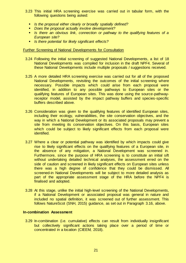- 3.23 This initial HRA screening exercise was carried out in tabular form, with the following questions being asked:
	- *Is the proposal either clearly or broadly spatially defined?*
	- *Does the proposal actually involve development?*
	- *Is there an obvious link, connection or pathway to the qualifying features of a European site?*
	- *Is there potential for likely significant effects?*

#### Further Screening of National Developments for Consultation

- 3.24 Following the initial screening of suggested National Developments, a list of 18 National Developments was compiled for inclusion in the draft NPF4. Several of these National Developments include multiple proposals / suggestions received.
- 3.25 A more detailed HRA screening exercise was carried out for all of the proposed National Developments, revisiting the outcomes of the initial screening where necessary. Possible impacts which could arise from each proposal were identified, in addition to any possible pathways to European sites or the qualifying features of European sites. This was done using the source-pathwayreceptor model, assisted by the impact pathway buffers and species-specific buffers described above.
- 3.26 Consideration was given to the qualifying features of identified European sites, including their ecology, vulnerabilities, the site conservation objectives, and the way in which a National Development or its associated proposals may prevent a site from meeting its conservation objectives. On this basis, European sites which could be subject to likely significant effects from each proposal were identified.
- 3.27 Where a clear or potential pathway was identified by which impacts could give rise to likely significant effects on the qualifying features of a European site, in the absence of any mitigation, a National Development was screened in. Furthermore, since the purpose of HRA screening is to constitute an initial sift without undertaking detailed technical analyses, the assessment erred on the side of caution and screened in likely significant effects on European sites unless there was a high degree of confidence that they could be dismissed. All screened-in National Developments will be subject to more detailed analysis as part of the appropriate assessment stage of the HRA before the NPF4 is finalised and adopted.
- 3.28 At this stage, unlike the initial high-level screening of the National Developments, if a National Development or associated proposal was general in nature and included no spatial definition, it was screened out of further assessment. This follows NatureScot (SNH, 2015) guidance, as set out in Paragraph 3.16, above.

#### **In-combination Assessment**

3.29 In-combination (i.e. cumulative) effects can result from individually insignificant but collectively significant actions taking place over a period of time or concentrated in a location (CIEEM, 2018).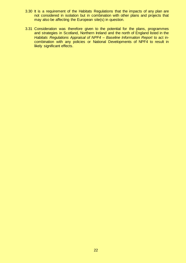- 3.30 It is a requirement of the Habitats Regulations that the impacts of any plan are not considered in isolation but in combination with other plans and projects that may also be affecting the European site(s) in question.
- 3.31 Consideration was therefore given to the potential for the plans, programmes and strategies in Scotland, Northern Ireland and the north of England listed in the *Habitats Regulations Appraisal of NPF4 – Baseline Information Report* to act incombination with any policies or National Developments of NPF4 to result in likely significant effects.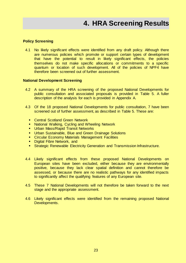#### <span id="page-22-0"></span>**Policy Screening**

4.1 No likely significant effects were identified from any draft policy. Although there are numerous policies which promote or support certain types of development that have the potential to result in likely significant effects, the policies themselves do not make specific allocations or commitments to a specific quantum or location of such development. All of the policies of NPF4 have therefore been screened out of further assessment.

#### **National Development Screening**

- 4.2 A summary of the HRA screening of the proposed National Developments for public consultation and associated proposals is provided in Table 5. A fuller description of the analysis for each is provided in Appendix A.
- 4.3 Of the 18 proposed National Developments for public consultation, 7 have been screened out of further assessment, as described in Table 5. These are:
	- **Central Scotland Green Network**
	- **National Walking, Cycling and Wheeling Network**
	- **Urban Mass/Rapid Transit Networks**
	- **Urban Sustainable, Blue and Green Drainage Solutions**
	- **EXECT** Circular Economy Materials Management Facilities
	- **Digital Fibre Network, and**
	- **Strategic Renewable Electricity Generation and Transmission Infrastructure.**
- 4.4 Likely significant effects from these proposed National Developments on European sites have been excluded, either because they are environmentally positive, because they lack clear spatial definition and cannot therefore be assessed, or because there are no realistic pathways for any identified impacts to significantly affect the qualifying features of any European site.
- 4.5 These 7 National Developments will not therefore be taken forward to the next stage and the appropriate assessment.
- 4.6 Likely significant effects were identified from the remaining proposed National Developments.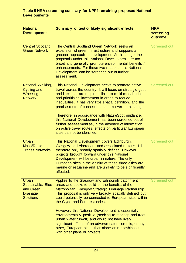| <b>National</b><br><b>Development</b>                                          | Summary of test of likely significant effects                                                                                                                                                                                                                                                                                                                                                                                                                                                                                                                                                                        | <b>HRA</b><br>screening<br>outcome |
|--------------------------------------------------------------------------------|----------------------------------------------------------------------------------------------------------------------------------------------------------------------------------------------------------------------------------------------------------------------------------------------------------------------------------------------------------------------------------------------------------------------------------------------------------------------------------------------------------------------------------------------------------------------------------------------------------------------|------------------------------------|
| <b>Central Scotland</b><br><b>Green Network</b>                                | The Central Scotland Green Network seeks an<br>expansion of green infrastructure and supports a<br>greener approach to development. At this stage, the<br>proposals under this National Development are too<br>broad and generally promote environmental benefits /<br>enhancements. For these two reasons, this National<br>Development can be screened out of further<br>assessment.                                                                                                                                                                                                                               | <b>Screened out</b>                |
| National Walking,<br><b>Cycling and</b><br>Wheeling<br><b>Network</b>          | This National Development seeks to promote active<br>travel across the country. It will focus on strategic gaps<br>and links that are required, links to multi-modal hubs,<br>and prioritising investment in areas to reduce<br>inequalities. It has very little spatial definition, and the<br>precise route of connections is unknown at this stage.<br>Therefore, in accordance with NatureScot guidance,<br>this National Development has been screened out of<br>further assessment as, in the absence of information<br>on active travel routes, effects on particular European<br>sites cannot be identified. | <b>Screened out</b>                |
| <b>Urban</b><br>Mass/Rapid<br><b>Transit Networks</b>                          | This National Development covers Edinburgh,<br>Glasgow and Aberdeen, and associated regions. It is<br>therefore only broadly spatially defined. However,<br>projects brought forward under this National<br>Development will be urban in nature. The only<br>European sites in the vicinity of these three cities are<br>marine or estuarine and are unlikely to be significantly<br>affected.                                                                                                                                                                                                                       | <b>Screened out</b>                |
| Urban<br>Sustainable, Blue<br>and Green<br><b>Drainage</b><br><b>Solutions</b> | Applies to the Glasgow and Edinburgh catchment<br>areas and seeks to build on the benefits of the<br>Metropolitan Glasgow Strategic Drainage Partnership.<br>This proposal is only very broadly spatially defined but<br>could potentially be connected to European sites within<br>the Clyde and Forth estuaries.<br>However, this National Development is essentially<br>environmentally positive (seeking to manage and treat<br>urban water run-off) and would not have likely                                                                                                                                   | <b>Screened out</b>                |
|                                                                                | significant effects of an adverse nature on this, or any<br>other, European site, either alone or in-combination<br>with other plans or projects.                                                                                                                                                                                                                                                                                                                                                                                                                                                                    |                                    |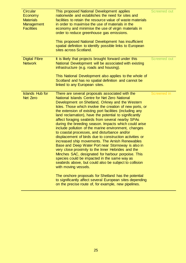| <b>Circular</b><br>Economy<br><b>Materials</b><br>Management<br><b>Facilities</b> | This proposed National Development applies<br>nationwide and establishes the need for sites and<br>facilities to retain the resource value of waste materials<br>in order to maximise the use of materials in the<br>economy and minimise the use of virgin materials in<br>order to reduce greenhouse gas emissions.<br>This proposed National Development has insufficient<br>spatial definition to identify possible links to European<br>sites across Scotland.                                                                                                                                                                                                                                                                                                                                                                                                                                                                                                                                                                                                                                                                                       | <b>Screened out</b> |
|-----------------------------------------------------------------------------------|-----------------------------------------------------------------------------------------------------------------------------------------------------------------------------------------------------------------------------------------------------------------------------------------------------------------------------------------------------------------------------------------------------------------------------------------------------------------------------------------------------------------------------------------------------------------------------------------------------------------------------------------------------------------------------------------------------------------------------------------------------------------------------------------------------------------------------------------------------------------------------------------------------------------------------------------------------------------------------------------------------------------------------------------------------------------------------------------------------------------------------------------------------------|---------------------|
| <b>Digital Fibre</b><br><b>Network</b>                                            | It is likely that projects brought forward under this<br>National Development will be associated with existing<br>infrastructure (e.g. roads and housing).<br>This National Development also applies to the whole of<br>Scotland and has no spatial definition and cannot be<br>linked to any European sites.                                                                                                                                                                                                                                                                                                                                                                                                                                                                                                                                                                                                                                                                                                                                                                                                                                             | <b>Screened out</b> |
| <b>Islands Hub for</b><br><b>Net Zero</b>                                         | There are several proposals associated with the<br>National Islands Centre for Net Zero National<br>Development on Shetland, Orkney and the Western<br>Isles. Those which involve the creation of new ports, or<br>the extension of existing port facilities (including any<br>land reclamation), have the potential to significantly<br>affect foraging seabirds from several nearby SPAs<br>during the breeding season. Impacts which could arise<br>include pollution of the marine environment, changes<br>to coastal processes, and disturbance and/or<br>displacement of birds due to construction activities or<br>increased ship movements. The Arnish Renewables<br>Base and Deep Water Port near Stornoway is also in<br>very close proximity to the Inner Hebrides and the<br>Minches SAC, designated for harbour porpoise. This<br>species could be impacted in the same way as<br>seabirds above, but could also be subject to collision<br>with moving vessels.<br>The onshore proposals for Shetland has the potential<br>to significantly affect several European sites depending<br>on the precise route of, for example, new pipelines. | <b>Screened in</b>  |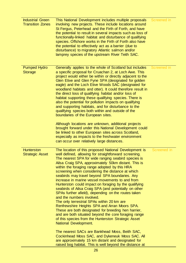| <b>Industrial Green</b><br><b>Transition Zones</b> | This National Development includes multiple proposals<br>involving new projects. These include locations around<br>St Fergus, Peterhead and the Firth of Forth, and have<br>the potential to result in several impacts such as loss of<br>functionally-linked habitat and disturbance of qualifying<br>species. Offshore works in the Firth of Forth also have<br>the potential to effectively act as a barrier (due to<br>disturbance) to migratory Atlantic salmon and/or<br>lamprey species of the upstream River Teith SAC.                                                                                                                                                                                                                                                                                                                                                                                                                                                                                                                                                                                                                                   | Screened in |
|----------------------------------------------------|-------------------------------------------------------------------------------------------------------------------------------------------------------------------------------------------------------------------------------------------------------------------------------------------------------------------------------------------------------------------------------------------------------------------------------------------------------------------------------------------------------------------------------------------------------------------------------------------------------------------------------------------------------------------------------------------------------------------------------------------------------------------------------------------------------------------------------------------------------------------------------------------------------------------------------------------------------------------------------------------------------------------------------------------------------------------------------------------------------------------------------------------------------------------|-------------|
| <b>Pumped Hydro</b><br><b>Storage</b>              | Generally applies to the whole of Scotland but includes<br>a specific proposal for Cruachan 2, at Loch Awe. This<br>project would either be within or directly adjacent to the<br>Glen Etive and Glen Fyne SPA (designated for golden<br>eagle) and the Loch Etive Woods SAC (designated for<br>woodland habitats and otter). It could therefore result in<br>the direct loss of qualifying habitat and/or loss of<br>habitat supporting these qualifying species. There is<br>also the potential for pollution impacts on qualifying<br>and supporting habitats, and for disturbance to the<br>qualifying species both within and outside of the<br>boundaries of the European sites.<br>Although locations are unknown, additional projects<br>brought forward under this National Development could<br>be linked to other European sites across Scotland,<br>especially as impacts to the freshwater environment<br>can occur over relatively large distances.                                                                                                                                                                                                 | Screened in |
| <b>Hunterston</b><br><b>Strategic Asset</b>        | The location of this proposed National Development is<br>well defined, allowing for straightforward screening.<br>The nearest SPA for wide ranging seabird species is<br>Ailsa Craig SPA, approximately 50km distant. This is<br>within the foraging range adopted by this HRA<br>screening when considering the distance at which<br>seabirds may travel beyond SPA boundaries. Any<br>increase in marine vessel movements to and from<br>Hunterston could impact on foraging by the qualifying<br>seabirds of Ailsa Craig SPA (and potentially on other<br>SPAs further afield), depending on the routes taken<br>and the numbers involved.<br>The only terrestrial SPAs within 20 km are<br>Renfrewshire Heights SPA and Arran Moors SPA.<br>These are both designated for breeding hen harrier,<br>and are both situated beyond the core foraging range<br>of this species from the Hunterston Strategic Asset<br>National Development.<br>The nearest SACs are Bankhead Moss, Beith SAC,<br>Cockinhead Moss SAC, and Dykeneuk Moss SAC. All<br>are approximately 15 km distant and designated for<br>raised bog habitat. This is well beyond the distance at | Screened in |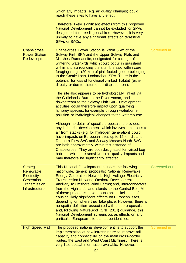|                                                                                                                       | which any impacts (e.g. air quality changes) could<br>reach these sites to have any effect.                                                                                                                                                                                                                                                                                                                                                                                                                                                                                                                                                                                                                                                                                                                                                                                                                                                                                                                                                                                                                                                                                                                                                                                                                                      |              |
|-----------------------------------------------------------------------------------------------------------------------|----------------------------------------------------------------------------------------------------------------------------------------------------------------------------------------------------------------------------------------------------------------------------------------------------------------------------------------------------------------------------------------------------------------------------------------------------------------------------------------------------------------------------------------------------------------------------------------------------------------------------------------------------------------------------------------------------------------------------------------------------------------------------------------------------------------------------------------------------------------------------------------------------------------------------------------------------------------------------------------------------------------------------------------------------------------------------------------------------------------------------------------------------------------------------------------------------------------------------------------------------------------------------------------------------------------------------------|--------------|
|                                                                                                                       | Therefore, likely significant effects from this proposed<br>National Development cannot be excluded for SPAs<br>designated for breeding seabirds. However, it is very<br>unlikely to have any significant effects on terrestrial<br><b>SPAs or SACs.</b>                                                                                                                                                                                                                                                                                                                                                                                                                                                                                                                                                                                                                                                                                                                                                                                                                                                                                                                                                                                                                                                                         |              |
| <b>Chapelcross</b><br><b>Power Station</b><br>Redevelopment                                                           | Chapelcross Power Station is within 5 km of the<br>Solway Firth SPA and the Upper Solway Flats and<br>Marshes Ramsar site, designated for a range of<br>wintering waterbirds which could occur in grassland<br>within and surrounding the site. It is also within core<br>foraging range (20 km) of pink-footed geese belonging<br>to the Castle Loch, Lochmaben SPA. There is the<br>potential for loss of functionally-linked habitat (either<br>directly or due to disturbance displacement).<br>The site also appears to be hydrologically linked via<br>the Gullielands Burn to the River Annan, and<br>downstream to the Solway Firth SAC. Development<br>activities could therefore impact upon qualifying<br>lamprey species, for example through waterborne<br>pollution or hydrological changes to the watercourse.<br>Although no detail of specific proposals is provided,<br>any industrial development which involves emissions to<br>air from stacks (e.g. for hydrogen generation) could<br>have impacts on European sites up to 15 km distant.<br>Raeburn Flow SAC and Solway Mosses North SAC<br>are both approximately within this distance of<br>Chapelcross. They are both designated for raised bog<br>habitats which are sensitive to air quality impacts and<br>may therefore be significantly affected. | Screened in  |
| <b>Strategic</b><br>Renewable<br><b>Electricity</b><br>Generation and<br><b>Transmission</b><br><b>Infrastructure</b> | This National Development includes the following<br>nationwide, generic proposals: National Renewable<br>Energy Generation Network; High Voltage Electricity<br><b>Transmission Network; Onshore Development</b><br>Ancillary to Offshore Wind Farms; and, Interconnectors<br>from the Highlands and Islands to the Central Belt. All<br>of these proposals have a substantial likelihood of<br>causing likely significant effects on European sites,<br>depending on where they take place. However, there is<br>no spatial definition associated with these proposals<br>and, following NatureScot (SNH 2014) guidance, this<br>National Development screens out as effects on any<br>particular European site cannot be identified.                                                                                                                                                                                                                                                                                                                                                                                                                                                                                                                                                                                           | Screened out |
| <b>High Speed Rail</b>                                                                                                | The proposed national development is to support the<br>implementation of new infrastructure to improve rail<br>capacity and connectivity on the main cross-border<br>routes, the East and West Coast Mainlines. There is<br>very little spatial information available. However,                                                                                                                                                                                                                                                                                                                                                                                                                                                                                                                                                                                                                                                                                                                                                                                                                                                                                                                                                                                                                                                  | Screened in  |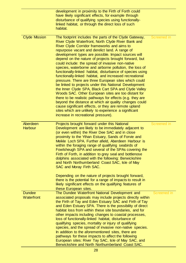|                             | development in proximity to the Firth of Forth could<br>have likely significant effects, for example through<br>disturbance of qualifying species using functionally-<br>linked habitat, or through the direct loss of such<br>habitat.                                                                                                                                                                                                                                                                                                                                                                                                                                                                                                                                                                                                                                                                                                                                                                                                                                             |                    |
|-----------------------------|-------------------------------------------------------------------------------------------------------------------------------------------------------------------------------------------------------------------------------------------------------------------------------------------------------------------------------------------------------------------------------------------------------------------------------------------------------------------------------------------------------------------------------------------------------------------------------------------------------------------------------------------------------------------------------------------------------------------------------------------------------------------------------------------------------------------------------------------------------------------------------------------------------------------------------------------------------------------------------------------------------------------------------------------------------------------------------------|--------------------|
| <b>Clyde Mission</b>        | The footprint includes the parts of the Clyde Gateway,<br>River Clyde Waterfront, North Clyde River Bank and<br>River Clyde Corridor frameworks and aims to<br>repurpose vacant and derelict land. A range of<br>development types are possible. Impact sources will<br>depend on the nature of projects brought forward, but<br>could include: the spread of invasive non-native<br>species, waterborne and airborne pollution, the loss of<br>functionally-linked habitat, disturbance of species using<br>functionally-linked habitat, and increased recreational<br>pressure. There are three European sites which could<br>be linked to projects under this National Development:<br>the Inner Clyde SPA, Black Cart SPA and Clyde Valley<br>Woods SAC. Other European sites are too distant for<br>there to be realistic pathways for effects (e.g. they are<br>beyond the distance at which air quality changes could<br>cause significant effects, or they are remote upland<br>sites which are unlikely to experience a significant<br>increase in recreational pressure). | <b>Screened in</b> |
| Aberdeen<br><b>Harbour</b>  | Projects brought forward under this National<br>Development are likely to be immediately adjacent to<br>(or even within) the River Dee SAC and in close<br>proximity to the Ythan Estuary, Sands of Forvie and<br>Meikle Loch SPA. Further afield, Aberdeen Harbour is<br>within the foraging range of qualifying seabirds of<br>Fowlsheugh SPA and several of the SPAs covering the<br>Firth of Forth, in addition to grey seal and bottlenose<br>dolphins associated with the following: Berwickshire<br>and North Northumberland Coast SAC, Isle of May<br>SAC and Moray Firth SAC.<br>Depending on the nature of projects brought forward,<br>there is the potential for a range of impacts to result in<br>likely significant effects on the qualifying features of<br>these European sites.                                                                                                                                                                                                                                                                                   | <b>Screened in</b> |
| <b>Dundee</b><br>Waterfront | The Dundee Waterfront National Development and<br>associated proposals may include projects directly within<br>the Firth of Tay and Eden Estuary SAC and Firth of Tay<br>and Eden Estuary SPA. There is the possibility of direct<br>habitat loss from within these site boundaries, and for<br>other impacts including changes to coastal processes,<br>loss of functionally-linked habitat, disturbance of<br>qualifying species, mortality or injury of qualifying<br>species, and the spread of invasive non-native species.<br>In addition to the aforementioned sites, there are<br>pathways for these impacts to affect the following<br>European sites: River Tay SAC, Isle of May SAC, and<br>Berwickshire and North Northumberland Coast SAC.                                                                                                                                                                                                                                                                                                                             | Screened in        |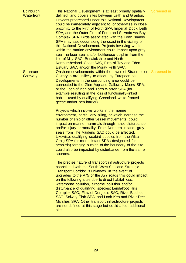| Edinburgh<br>Waterfront     | This National Development is at least broadly spatially<br>defined, and covers sites between Leith and Granton.<br>Projects progressed under this National Development<br>could be immediately adjacent to, or otherwise in close<br>proximity to the Firth of Forth SPA, Imperial Dock, Leith<br>SPA, and the Outer Firth of Forth and St Andrews Bay<br>Complex SPA. Birds associated with the Forth Islands<br>SPA may also occur along the coast in the vicinity of<br>this National Development. Projects involving works<br>within the marine environment could impact upon grey<br>seal, harbour seal and/or bottlenose dolphin from the<br>Isle of May SAC, Berwickshire and North<br>Northumberland Coast SAC, Firth of Tay and Eden<br>Estuary SAC, and/or the Moray Firth SAC.                                                                                                                                                                                                                                                                                                                                                                                                                                                                                                                                                                                                                                                                                                                                                                                                                                            | Screened in |
|-----------------------------|--------------------------------------------------------------------------------------------------------------------------------------------------------------------------------------------------------------------------------------------------------------------------------------------------------------------------------------------------------------------------------------------------------------------------------------------------------------------------------------------------------------------------------------------------------------------------------------------------------------------------------------------------------------------------------------------------------------------------------------------------------------------------------------------------------------------------------------------------------------------------------------------------------------------------------------------------------------------------------------------------------------------------------------------------------------------------------------------------------------------------------------------------------------------------------------------------------------------------------------------------------------------------------------------------------------------------------------------------------------------------------------------------------------------------------------------------------------------------------------------------------------------------------------------------------------------------------------------------------------------------------------|-------------|
| <b>Stranraer</b><br>Gateway | Onshore developments within the towns of Stranraer or Screened in<br>Cairnryan are unlikely to affect any European site.<br>Developments in the surrounding area could be<br>connected to the Glen App and Galloway Moors SPA,<br>or the Loch of Inch and Torrs Warren SPA (for<br>example resulting in the loss of functionally-linked<br>habitat used by qualifying Greenland white-fronted<br>geese and/or hen harrier).<br>Projects which involve works in the marine<br>environment, particularly piling, or which increase the<br>number of ship or other vessel movements, could<br>impact on marine mammals through noise disturbance<br>and/or injury or mortality. From Northern Ireland, grey<br>seals from The Maidens SAC could be affected.<br>Likewise, qualifying seabird species from the Ailsa<br>Craig SPA (or more distant SPAs designated for<br>seabirds) foraging outside of the boundary of the site<br>could also be impacted by disturbance from the same<br>sources.<br>The precise nature of transport infrastructure projects<br>associated with the South West Scotland Strategic<br>Transport Corridor is unknown. In the event of<br>upgrades to the A75 or the A77 roads this could impact<br>on the following sites due to direct habitat loss,<br>waterborne pollution, airborne pollution and/or<br>disturbance of qualifying species: Lendalfoot Hills<br>Complex SAC, Flow of Dergoals SAC, River Bladnoch<br>SAC, Solway Firth SPA, and Loch Ken and River Dee<br>Marshes SPA. Other transport infrastructure projects<br>are not defined at this stage but could affect additional<br>sites. |             |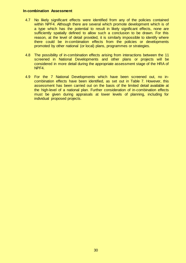#### **In-combination Assessment**

- 4.7 No likely significant effects were identified from any of the policies contained within NPF4. Although there are several which promote development which is of a type which has the potential to result in likely significant effects, none are sufficiently spatially defined to allow such a conclusion to be drawn. For this reason, at the level of detail provided, it is similarly impossible to identify where there could be in-combination effects from the policies or developments promoted by other national (or local) plans, programmes or strategies.
- 4.8 The possibility of in-combination effects arising from interactions between the 11 screened in National Developments and other plans or projects will be considered in more detail during the appropriate assessment stage of the HRA of NPF4.
- 4.9 For the 7 National Developments which have been screened out, no incombination effects have been identified, as set out in Table 7. However, this assessment has been carried out on the basis of the limited detail available at the high-level of a national plan. Further consideration of in-combination effects must be given during appraisals at lower levels of planning, including for individual proposed projects.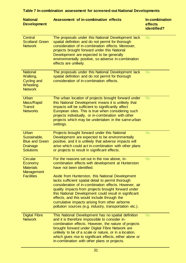| <b>National</b><br><b>Development</b>                                                        | Assessment of in-combination effects                                                                                                                                                                                                                                                                                                                                                                                                                                                                                                                                            | In-combination<br>effects<br>identified? |
|----------------------------------------------------------------------------------------------|---------------------------------------------------------------------------------------------------------------------------------------------------------------------------------------------------------------------------------------------------------------------------------------------------------------------------------------------------------------------------------------------------------------------------------------------------------------------------------------------------------------------------------------------------------------------------------|------------------------------------------|
| <b>Central</b><br><b>Scotland Green</b><br><b>Network</b>                                    | The proposals under this National Development lack<br>spatial definition and do not permit for thorough<br>consideration of in-combination effects. Moreover,<br>projects brought forward under this National<br>Development are expected to be generally<br>environmentally positive, so adverse in-combination<br>effects are unlikely.                                                                                                                                                                                                                                       | <b>No</b>                                |
| <b>National</b><br>Walking,<br><b>Cycling and</b><br>Wheeling<br><b>Network</b>              | The proposals under this National Development lack<br>spatial definition and do not permit for thorough<br>consideration of in-combination effects.                                                                                                                                                                                                                                                                                                                                                                                                                             | <b>No</b>                                |
| <b>Urban</b><br>Mass/Rapid<br><b>Transit</b><br><b>Networks</b>                              | The urban location of projects brought forward under<br>this National Development means it is unlikely that<br>impacts will be sufficient to significantly affect<br>European sites. This is true when considering such<br>projects individually, or in-combination with other<br>projects which may be undertaken in the same urban<br>settings.                                                                                                                                                                                                                               | <b>No</b>                                |
| <b>Urban</b><br>Sustainable,<br><b>Blue and Green</b><br><b>Drainage</b><br><b>Solutions</b> | Projects brought forward under this National<br>Development are expected to be environmentally<br>positive, and it is unlikely that adverse impacts will<br>arise which could act in-combination with other plans<br>or projects to result in significant effects.                                                                                                                                                                                                                                                                                                              | <b>No</b>                                |
| <b>Circular</b><br>Economy<br><b>Materials</b><br><b>Management</b><br><b>Facilities</b>     | For the reasons set out in the row above, in-<br>combination effects with development at Hunterston<br>have not been identified.<br>Aside from Hunterston, this National Development<br>lacks sufficient spatial detail to permit thorough<br>consideration of in-combination effects. However, air<br>quality impacts from projects brought forward under<br>this National Development could result in significant<br>effects, and this would include through the<br>cumulative impacts arising from other airborne<br>pollution sources (e.g. industry, transportation etc.). | <b>No</b>                                |
| <b>Digital Fibre</b><br><b>Network</b>                                                       | This National Development has no spatial definition<br>and it is therefore impossible to consider in-<br>combination effects. However, the nature of projects<br>brought forward under Digital Fibre Network are<br>unlikely to be of a scale or nature, or in a location,<br>which gives rise to significant effects, either alone or<br>in-combination with other plans or projects.                                                                                                                                                                                          | <b>No</b>                                |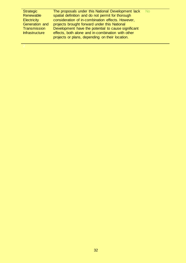| <b>Strategic</b>      | The proposals under this National Development lack  | - No |
|-----------------------|-----------------------------------------------------|------|
| Renewable             | spatial definition and do not permit for thorough   |      |
| <b>Electricity</b>    | consideration of in-combination effects. However,   |      |
| Generation and        | projects brought forward under this National        |      |
| <b>Transmission</b>   | Development have the potential to cause significant |      |
| <b>Infrastructure</b> | effects, both alone and in-combination with other   |      |
|                       | projects or plans, depending on their location.     |      |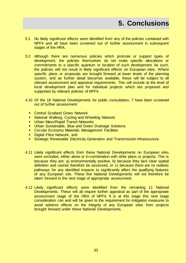- <span id="page-32-0"></span>5.1 No likely significant effects were identified from any of the policies contained with NPF4 and all have been screened out of further assessment in subsequent stages of the HRA.
- 5.2 Although there are numerous policies which promote or support types of development, the policies themselves do not make specific allocations or commitments to a specific quantum or location of such development. As such, the policies will not result in likely significant effects on European sites. Where specific plans or proposals are brought forward at lower levels of the planning system, and as further detail becomes available, these will be subject to all relevant assessment and appraisal requirements. This will include at the level of local development plan and for individual projects which are proposed and supported by relevant policies of NPF4.
- 4.10 Of the 18 National Developments for public consultation, 7 have been screened out of further assessment:
	- Central Scotland Green Network
	- **National Walking, Cycling and Wheeling Network**
	- **Urban Mass/Rapid Transit Networks**
	- **Urban Sustainable, Blue and Green Drainage Solutions**
	- **EXECT** Circular Economy Materials Management Facilities
	- **Digital Fibre Network, and**
	- **Strategic Renewable Electricity Generation and Transmission Infrastructure.**
- 4.11 Likely significant effects from these National Developments on European sites were excluded, either alone or in-combination with other plans or projects. This is because they are: a) environmentally positive, b) because they lack clear spatial definition and cannot therefore be assessed, or  $c$ ) because there are no realistic pathways for any identified impacts to significantly affect the qualifying features of any European site. These five National Developments will not therefore be taken forward to the next stage of appropriate assessment.
- 4.12 Likely significant effects were identified from the remaining 11 National Developments. These will all require further appraisal as part of the appropriate assessment stage of the HRA of NPF4. It is at this stage this next stage consideration can and will be given to the requirement for mitigation measures to avoid adverse effects on the integrity of any European sites from projects brought forward under these National Developments.